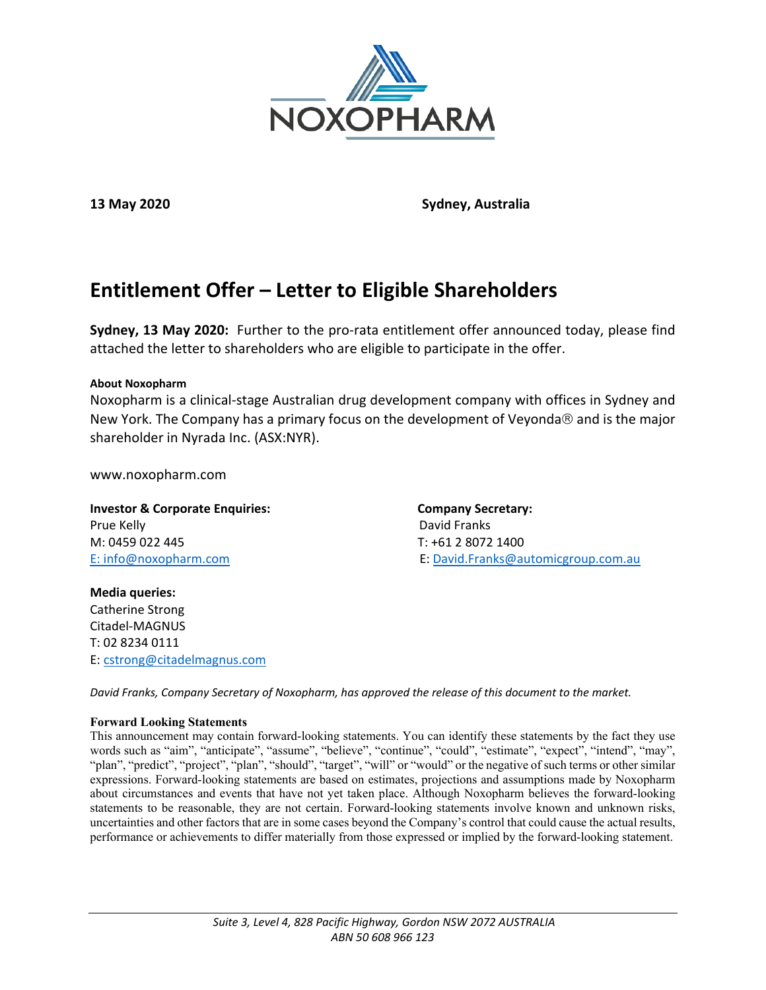

**13 May 2020 Sydney, Australia**

# **Entitlement Offer – Letter to Eligible Shareholders**

**Sydney, 13 May 2020:** Further to the pro-rata entitlement offer announced today, please find attached the letter to shareholders who are eligible to participate in the offer.

#### **About Noxopharm**

Noxopharm is a clinical-stage Australian drug development company with offices in Sydney and New York. The Company has a primary focus on the development of Veyonda $\otimes$  and is the major shareholder in Nyrada Inc. (ASX:NYR).

www.noxopharm.com

**Investor & Corporate Enquiries:** Company Secretary: Prue Kelly David Franks M: 0459 022 445 T: +61 2 8072 1400

E: [info@noxopharm.com](mailto:info@noxopharm.com) E: [David.Franks@automicgroup.com.au](mailto:David.Franks@automicgroup.com.au)

**Media queries:** Catherine Strong Citadel-MAGNUS T: 02 8234 0111 E: [cstrong@citadelmagnus.com](mailto:cstrong@citadelmagnus.com)

*David Franks, Company Secretary of Noxopharm, has approved the release of this document to the market.*

#### **Forward Looking Statements**

This announcement may contain forward-looking statements. You can identify these statements by the fact they use words such as "aim", "anticipate", "assume", "believe", "continue", "could", "estimate", "expect", "intend", "may", "plan", "predict", "project", "plan", "should", "target", "will" or "would" or the negative of such terms or other similar expressions. Forward-looking statements are based on estimates, projections and assumptions made by Noxopharm about circumstances and events that have not yet taken place. Although Noxopharm believes the forward-looking statements to be reasonable, they are not certain. Forward-looking statements involve known and unknown risks, uncertainties and other factors that are in some cases beyond the Company's control that could cause the actual results, performance or achievements to differ materially from those expressed or implied by the forward-looking statement.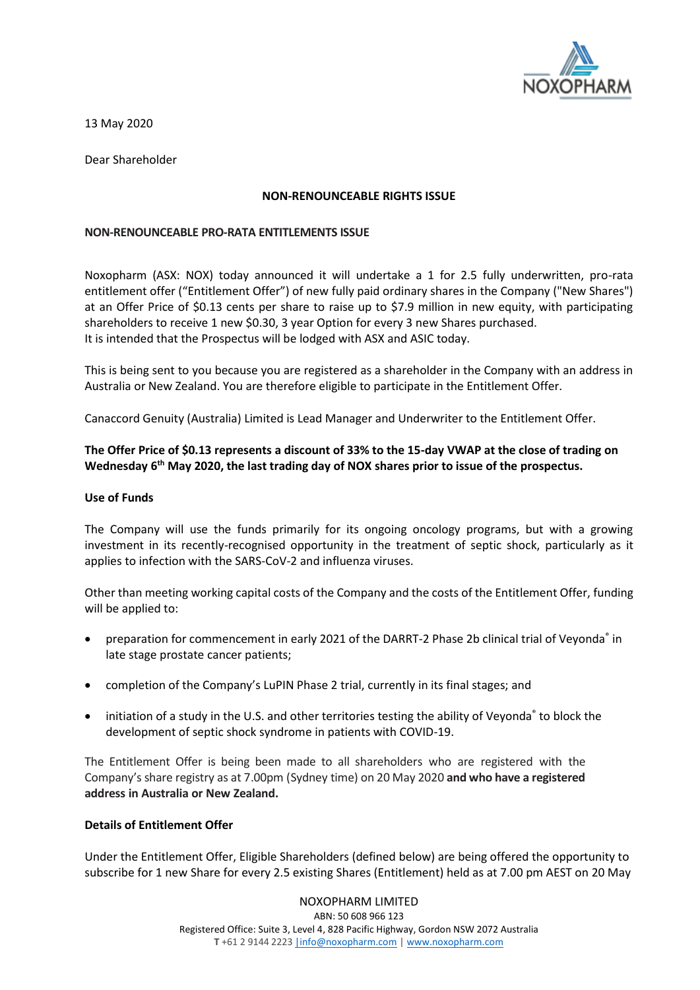

13 May 2020

Dear Shareholder

#### **NON-RENOUNCEABLE RIGHTS ISSUE**

#### **NON-RENOUNCEABLE PRO-RATA ENTITLEMENTS ISSUE**

Noxopharm (ASX: NOX) today announced it will undertake a 1 for 2.5 fully underwritten, pro-rata entitlement offer ("Entitlement Offer") of new fully paid ordinary shares in the Company ("New Shares") at an Offer Price of \$0.13 cents per share to raise up to \$7.9 million in new equity, with participating shareholders to receive 1 new \$0.30, 3 year Option for every 3 new Shares purchased. It is intended that the Prospectus will be lodged with ASX and ASIC today.

This is being sent to you because you are registered as a shareholder in the Company with an address in Australia or New Zealand. You are therefore eligible to participate in the Entitlement Offer.

Canaccord Genuity (Australia) Limited is Lead Manager and Underwriter to the Entitlement Offer.

# **The Offer Price of \$0.13 represents a discount of 33% to the 15-day VWAP at the close of trading on Wednesday 6 th May 2020, the last trading day of NOX shares prior to issue of the prospectus.**

#### **Use of Funds**

The Company will use the funds primarily for its ongoing oncology programs, but with a growing investment in its recently-recognised opportunity in the treatment of septic shock, particularly as it applies to infection with the SARS-CoV-2 and influenza viruses.

Other than meeting working capital costs of the Company and the costs of the Entitlement Offer, funding will be applied to:

- preparation for commencement in early 2021 of the DARRT-2 Phase 2b clinical trial of Veyonda® in late stage prostate cancer patients;
- completion of the Company's LuPIN Phase 2 trial, currently in its final stages; and
- initiation of a study in the U.S. and other territories testing the ability of Veyonda® to block the development of septic shock syndrome in patients with COVID-19.

The Entitlement Offer is being been made to all shareholders who are registered with the Company'sshare registry as at 7.00pm (Sydney time) on 20 May 2020 **and who have a registered address in Australia or New Zealand.** 

## **Details of Entitlement Offer**

Under the Entitlement Offer, Eligible Shareholders (defined below) are being offered the opportunity to subscribe for 1 new Share for every 2.5 existing Shares (Entitlement) held as at 7.00 pm AEST on 20 May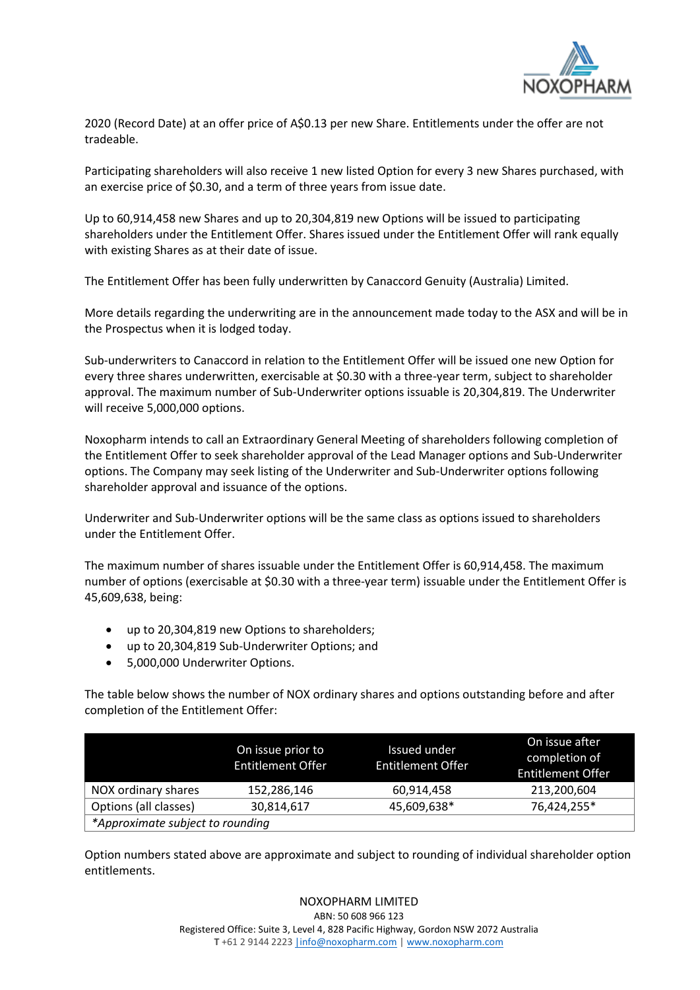

2020 (Record Date) at an offer price of A\$0.13 per new Share. Entitlements under the offer are not tradeable.

Participating shareholders will also receive 1 new listed Option for every 3 new Shares purchased, with an exercise price of \$0.30, and a term of three years from issue date.

Up to 60,914,458 new Shares and up to 20,304,819 new Options will be issued to participating shareholders under the Entitlement Offer. Shares issued under the Entitlement Offer will rank equally with existing Shares as at their date of issue.

The Entitlement Offer has been fully underwritten by Canaccord Genuity (Australia) Limited.

More details regarding the underwriting are in the announcement made today to the ASX and will be in the Prospectus when it is lodged today.

Sub-underwriters to Canaccord in relation to the Entitlement Offer will be issued one new Option for every three shares underwritten, exercisable at \$0.30 with a three-year term, subject to shareholder approval. The maximum number of Sub-Underwriter options issuable is 20,304,819. The Underwriter will receive 5,000,000 options.

Noxopharm intends to call an Extraordinary General Meeting of shareholders following completion of the Entitlement Offer to seek shareholder approval of the Lead Manager options and Sub-Underwriter options. The Company may seek listing of the Underwriter and Sub-Underwriter options following shareholder approval and issuance of the options.

Underwriter and Sub-Underwriter options will be the same class as options issued to shareholders under the Entitlement Offer.

The maximum number of shares issuable under the Entitlement Offer is 60,914,458. The maximum number of options (exercisable at \$0.30 with a three-year term) issuable under the Entitlement Offer is 45,609,638, being:

- up to 20,304,819 new Options to shareholders;
- up to 20,304,819 Sub-Underwriter Options; and
- 5,000,000 Underwriter Options.

The table below shows the number of NOX ordinary shares and options outstanding before and after completion of the Entitlement Offer:

|                                  | On issue prior to<br><b>Entitlement Offer</b> | Issued under<br><b>Entitlement Offer</b> | On issue after<br>completion of<br><b>Entitlement Offer</b> |  |
|----------------------------------|-----------------------------------------------|------------------------------------------|-------------------------------------------------------------|--|
| NOX ordinary shares              | 152,286,146                                   | 60,914,458                               | 213,200,604                                                 |  |
| Options (all classes)            | 30,814,617                                    | 45,609,638*                              | 76,424,255*                                                 |  |
| *Approximate subject to rounding |                                               |                                          |                                                             |  |

Option numbers stated above are approximate and subject to rounding of individual shareholder option entitlements.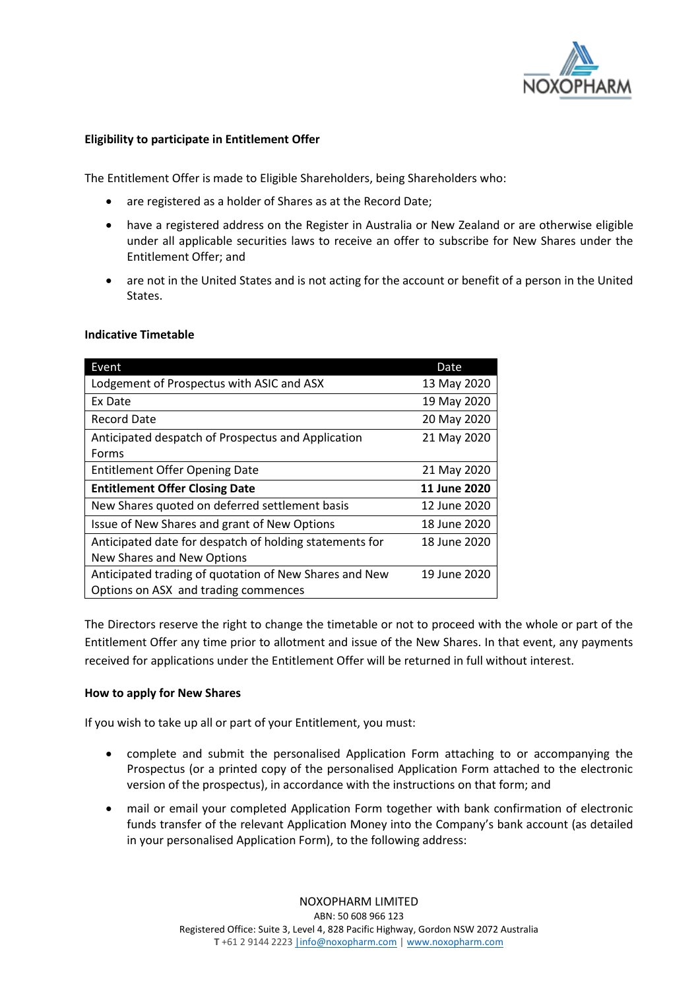

# **Eligibility to participate in Entitlement Offer**

The Entitlement Offer is made to Eligible Shareholders, being Shareholders who:

- are registered as a holder of Shares as at the Record Date;
- have a registered address on the Register in Australia or New Zealand or are otherwise eligible under all applicable securities laws to receive an offer to subscribe for New Shares under the Entitlement Offer; and
- are not in the United States and is not acting for the account or benefit of a person in the United States.

| Event                                                   | Date         |
|---------------------------------------------------------|--------------|
| Lodgement of Prospectus with ASIC and ASX               | 13 May 2020  |
| Ex Date                                                 | 19 May 2020  |
| Record Date                                             | 20 May 2020  |
| Anticipated despatch of Prospectus and Application      | 21 May 2020  |
| Forms                                                   |              |
| <b>Entitlement Offer Opening Date</b>                   | 21 May 2020  |
| <b>Entitlement Offer Closing Date</b>                   | 11 June 2020 |
| New Shares quoted on deferred settlement basis          | 12 June 2020 |
| Issue of New Shares and grant of New Options            | 18 June 2020 |
| Anticipated date for despatch of holding statements for | 18 June 2020 |
| New Shares and New Options                              |              |
| Anticipated trading of quotation of New Shares and New  | 19 June 2020 |
| Options on ASX and trading commences                    |              |

#### **Indicative Timetable**

The Directors reserve the right to change the timetable or not to proceed with the whole or part of the Entitlement Offer any time prior to allotment and issue of the New Shares. In that event, any payments received for applications under the Entitlement Offer will be returned in full without interest.

## **How to apply for New Shares**

If you wish to take up all or part of your Entitlement, you must:

- complete and submit the personalised Application Form attaching to or accompanying the Prospectus (or a printed copy of the personalised Application Form attached to the electronic version of the prospectus), in accordance with the instructions on that form; and
- mail or email your completed Application Form together with bank confirmation of electronic funds transfer of the relevant Application Money into the Company's bank account (as detailed in your personalised Application Form), to the following address: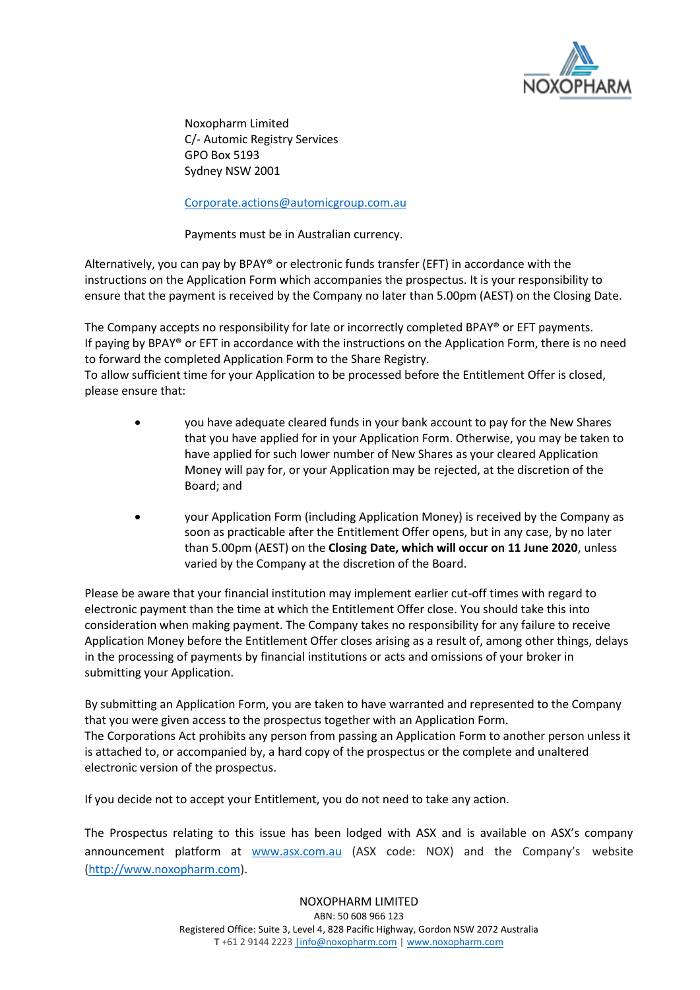

Noxopharm Limited C/- Automic Registry Services GPO Box 5193 Sydney NSW 2001

# [Corporate.actions@automicgroup.com.au](mailto:Corporate.actions@automicgroup.com.au)

Payments must be in Australian currency.

Alternatively, you can pay by BPAY® or electronic funds transfer (EFT) in accordance with the instructions on the Application Form which accompanies the prospectus. It is your responsibility to ensure that the payment is received by the Company no later than 5.00pm (AEST) on the Closing Date.

The Company accepts no responsibility for late or incorrectly completed BPAY® or EFT payments. If paying by BPAY® or EFT in accordance with the instructions on the Application Form, there is no need to forward the completed Application Form to the Share Registry.

To allow sufficient time for your Application to be processed before the Entitlement Offer is closed, please ensure that:

- you have adequate cleared funds in your bank account to pay for the New Shares that you have applied for in your Application Form. Otherwise, you may be taken to have applied for such lower number of New Shares as your cleared Application Money will pay for, or your Application may be rejected, at the discretion of the Board; and
- your Application Form (including Application Money) is received by the Company as soon as practicable after the Entitlement Offer opens, but in any case, by no later than 5.00pm (AEST) on the **Closing Date, which will occur on 11 June 2020**, unless varied by the Company at the discretion of the Board.

Please be aware that your financial institution may implement earlier cut-off times with regard to electronic payment than the time at which the Entitlement Offer close. You should take this into consideration when making payment. The Company takes no responsibility for any failure to receive Application Money before the Entitlement Offer closes arising as a result of, among other things, delays in the processing of payments by financial institutions or acts and omissions of your broker in submitting your Application.

By submitting an Application Form, you are taken to have warranted and represented to the Company that you were given access to the prospectus together with an Application Form. The Corporations Act prohibits any person from passing an Application Form to another person unless it is attached to, or accompanied by, a hard copy of the prospectus or the complete and unaltered electronic version of the prospectus.

If you decide not to accept your Entitlement, you do not need to take any action.

The Prospectus relating to this issue has been lodged with ASX and is available on ASX's company announcement platform at [www.asx.com.au](http://www.asx.com.au/) (ASX code: NOX) and the Company's website [\(http://www.noxopharm.com\)](http://www.noxopharm.com/).